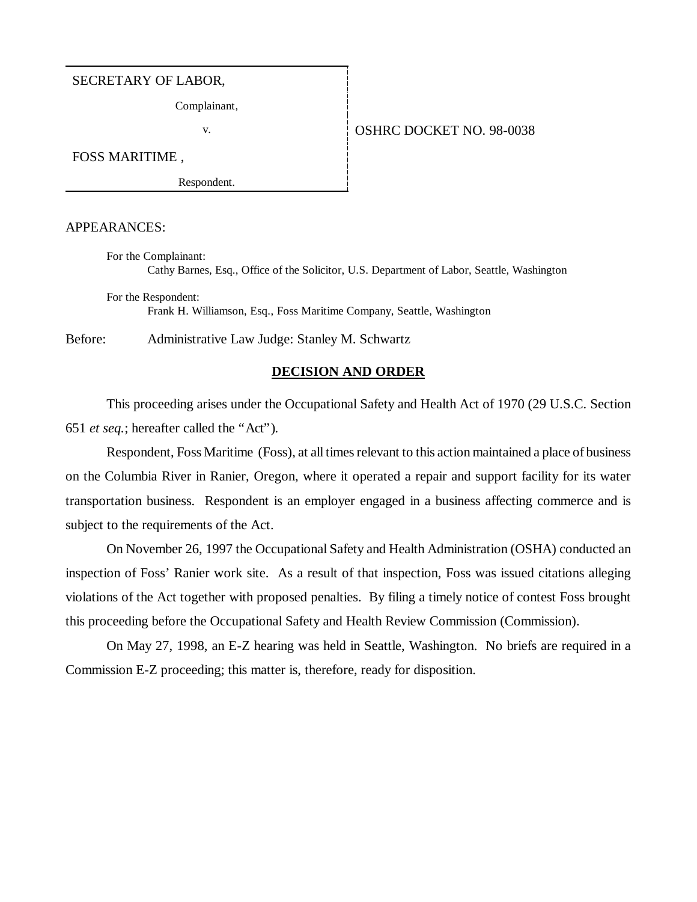#### SECRETARY OF LABOR,

Complainant,

### v. 6 | OSHRC DOCKET NO. 98-0038

FOSS MARITIME ,

Respondent.

### APPEARANCES:

For the Complainant: Cathy Barnes, Esq., Office of the Solicitor, U.S. Department of Labor, Seattle, Washington

For the Respondent: Frank H. Williamson, Esq., Foss Maritime Company, Seattle, Washington

Before: Administrative Law Judge: Stanley M. Schwartz

### **DECISION AND ORDER**

This proceeding arises under the Occupational Safety and Health Act of 1970 (29 U.S.C. Section 651 *et seq.*; hereafter called the "Act").

Respondent, Foss Maritime (Foss), at all times relevant to this action maintained a place of business on the Columbia River in Ranier, Oregon, where it operated a repair and support facility for its water transportation business. Respondent is an employer engaged in a business affecting commerce and is subject to the requirements of the Act.

On November 26, 1997 the Occupational Safety and Health Administration (OSHA) conducted an inspection of Foss' Ranier work site. As a result of that inspection, Foss was issued citations alleging violations of the Act together with proposed penalties. By filing a timely notice of contest Foss brought this proceeding before the Occupational Safety and Health Review Commission (Commission).

On May 27, 1998, an E-Z hearing was held in Seattle, Washington. No briefs are required in a Commission E-Z proceeding; this matter is, therefore, ready for disposition.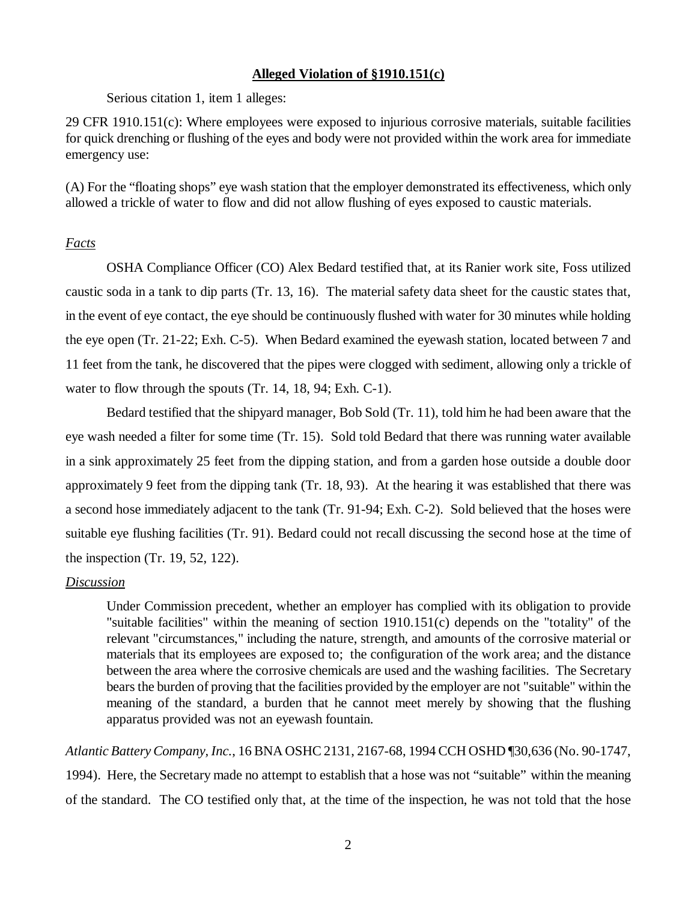### **Alleged Violation of §1910.151(c)**

Serious citation 1, item 1 alleges:

29 CFR 1910.151(c): Where employees were exposed to injurious corrosive materials, suitable facilities for quick drenching or flushing of the eyes and body were not provided within the work area for immediate emergency use:

(A) For the "floating shops" eye wash station that the employer demonstrated its effectiveness, which only allowed a trickle of water to flow and did not allow flushing of eyes exposed to caustic materials.

## *Facts*

OSHA Compliance Officer (CO) Alex Bedard testified that, at its Ranier work site, Foss utilized caustic soda in a tank to dip parts (Tr. 13, 16). The material safety data sheet for the caustic states that, in the event of eye contact, the eye should be continuously flushed with water for 30 minutes while holding the eye open (Tr. 21-22; Exh. C-5). When Bedard examined the eyewash station, located between 7 and 11 feet from the tank, he discovered that the pipes were clogged with sediment, allowing only a trickle of water to flow through the spouts (Tr. 14, 18, 94; Exh. C-1).

Bedard testified that the shipyard manager, Bob Sold (Tr. 11), told him he had been aware that the eye wash needed a filter for some time (Tr. 15). Sold told Bedard that there was running water available in a sink approximately 25 feet from the dipping station, and from a garden hose outside a double door approximately 9 feet from the dipping tank (Tr. 18, 93). At the hearing it was established that there was a second hose immediately adjacent to the tank (Tr. 91-94; Exh. C-2). Sold believed that the hoses were suitable eye flushing facilities (Tr. 91). Bedard could not recall discussing the second hose at the time of the inspection (Tr. 19, 52, 122).

# *Discussion*

Under Commission precedent, whether an employer has complied with its obligation to provide "suitable facilities" within the meaning of section 1910.151(c) depends on the "totality" of the relevant "circumstances," including the nature, strength, and amounts of the corrosive material or materials that its employees are exposed to; the configuration of the work area; and the distance between the area where the corrosive chemicals are used and the washing facilities. The Secretary bears the burden of proving that the facilities provided by the employer are not "suitable" within the meaning of the standard, a burden that he cannot meet merely by showing that the flushing apparatus provided was not an eyewash fountain.

*Atlantic Battery Company, Inc.*, 16 BNA OSHC 2131, 2167-68, 1994 CCH OSHD ¶30,636 (No. 90-1747, 1994). Here, the Secretary made no attempt to establish that a hose was not "suitable" within the meaning of the standard. The CO testified only that, at the time of the inspection, he was not told that the hose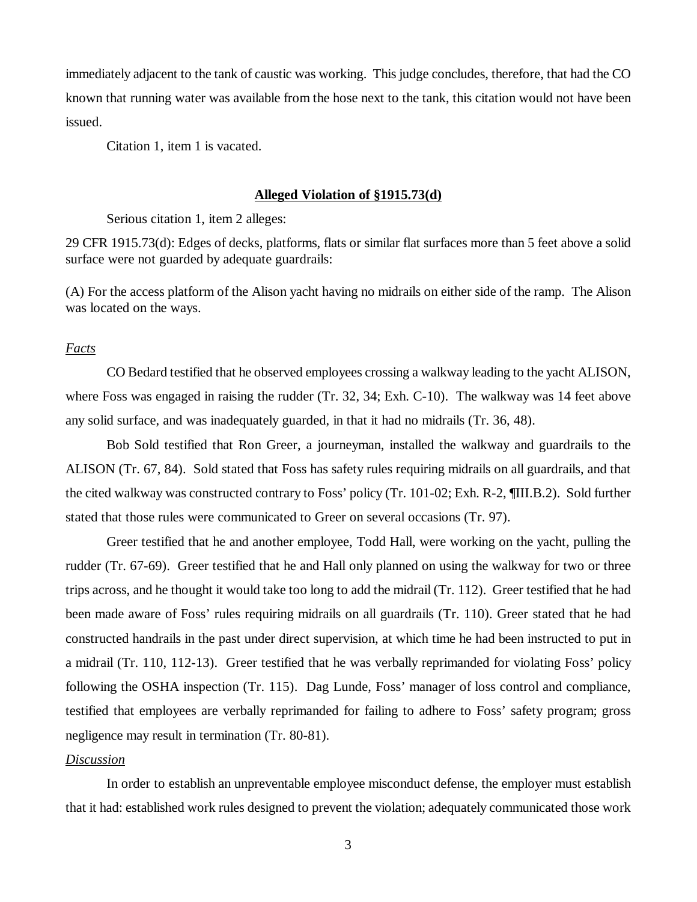immediately adjacent to the tank of caustic was working. This judge concludes, therefore, that had the CO known that running water was available from the hose next to the tank, this citation would not have been issued.

Citation 1, item 1 is vacated.

#### **Alleged Violation of §1915.73(d)**

Serious citation 1, item 2 alleges:

29 CFR 1915.73(d): Edges of decks, platforms, flats or similar flat surfaces more than 5 feet above a solid surface were not guarded by adequate guardrails:

(A) For the access platform of the Alison yacht having no midrails on either side of the ramp. The Alison was located on the ways.

### *Facts*

CO Bedard testified that he observed employees crossing a walkway leading to the yacht ALISON, where Foss was engaged in raising the rudder (Tr. 32, 34; Exh. C-10). The walkway was 14 feet above any solid surface, and was inadequately guarded, in that it had no midrails (Tr. 36, 48).

Bob Sold testified that Ron Greer, a journeyman, installed the walkway and guardrails to the ALISON (Tr. 67, 84). Sold stated that Foss has safety rules requiring midrails on all guardrails, and that the cited walkway was constructed contrary to Foss' policy (Tr. 101-02; Exh. R-2, ¶III.B.2). Sold further stated that those rules were communicated to Greer on several occasions (Tr. 97).

Greer testified that he and another employee, Todd Hall, were working on the yacht, pulling the rudder (Tr. 67-69). Greer testified that he and Hall only planned on using the walkway for two or three trips across, and he thought it would take too long to add the midrail (Tr. 112). Greer testified that he had been made aware of Foss' rules requiring midrails on all guardrails (Tr. 110). Greer stated that he had constructed handrails in the past under direct supervision, at which time he had been instructed to put in a midrail (Tr. 110, 112-13). Greer testified that he was verbally reprimanded for violating Foss' policy following the OSHA inspection (Tr. 115). Dag Lunde, Foss' manager of loss control and compliance, testified that employees are verbally reprimanded for failing to adhere to Foss' safety program; gross negligence may result in termination (Tr. 80-81).

## *Discussion*

In order to establish an unpreventable employee misconduct defense, the employer must establish that it had: established work rules designed to prevent the violation; adequately communicated those work